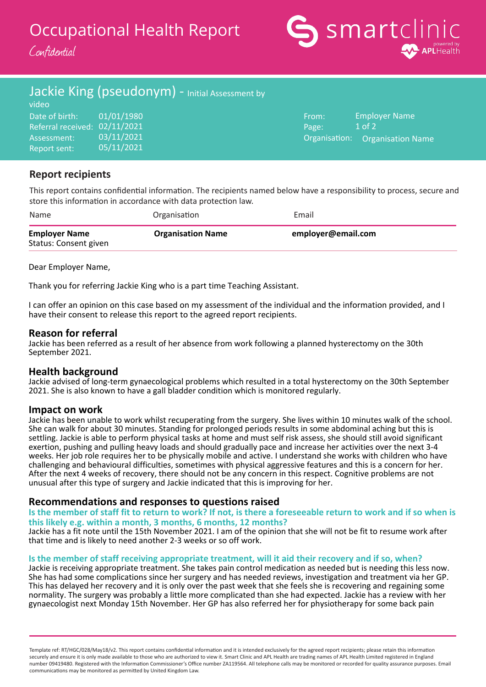Occupational Health Report

Confidential



# Jackie King (pseudonym) - Initial Assessment by

| video                         |            |       |                                 |
|-------------------------------|------------|-------|---------------------------------|
| Date of birth:                | 01/01/1980 | From: | Employer Name                   |
| Referral received: 02/11/2021 |            | Page: | $1$ of $2$                      |
| Assessment:                   | 03/11/2021 |       | Organisation: Organisation Name |
| Report sent:                  | 05/11/2021 |       |                                 |

## **Report recipients**

This report contains confidential information. The recipients named below have a responsibility to process, secure and store this information in accordance with data protection law.

| Name                                          | Organisation             | Email              |
|-----------------------------------------------|--------------------------|--------------------|
| <b>Employer Name</b><br>Status: Consent given | <b>Organisation Name</b> | employer@email.com |

Dear Employer Name,

Thank you for referring Jackie King who is a part time Teaching Assistant.

I can offer an opinion on this case based on my assessment of the individual and the information provided, and I have their consent to release this report to the agreed report recipients.

### **Reason for referral**

Jackie has been referred as a result of her absence from work following a planned hysterectomy on the 30th September 2021.

### **Health background**

Jackie advised of long-term gynaecological problems which resulted in a total hysterectomy on the 30th September 2021. She is also known to have a gall bladder condition which is monitored regularly.

### **Impact on work**

Jackie has been unable to work whilst recuperating from the surgery. She lives within 10 minutes walk of the school. She can walk for about 30 minutes. Standing for prolonged periods results in some abdominal aching but this is settling. Jackie is able to perform physical tasks at home and must self risk assess, she should still avoid significant exertion, pushing and pulling heavy loads and should gradually pace and increase her activities over the next 3-4 weeks. Her job role requires her to be physically mobile and active. I understand she works with children who have challenging and behavioural difficulties, sometimes with physical aggressive features and this is a concern for her. After the next 4 weeks of recovery, there should not be any concern in this respect. Cognitive problems are not unusual after this type of surgery and Jackie indicated that this is improving for her.

### **Recommendations and responses to questions raised**

### **Is the member of staff fit to return to work? If not, is there a foreseeable return to work and if so when is this likely e.g. within a month, 3 months, 6 months, 12 months?**

Jackie has a fit note until the 15th November 2021. I am of the opinion that she will not be fit to resume work after that time and is likely to need another 2-3 weeks or so off work.

### **Is the member of staff receiving appropriate treatment, will it aid their recovery and if so, when?**

Jackie is receiving appropriate treatment. She takes pain control medication as needed but is needing this less now. She has had some complications since her surgery and has needed reviews, investigation and treatment via her GP. This has delayed her recovery and it is only over the past week that she feels she is recovering and regaining some normality. The surgery was probably a little more complicated than she had expected. Jackie has a review with her gynaecologist next Monday 15th November. Her GP has also referred her for physiotherapy for some back pain

Template ref: RT/HGC/028/May18/v2. This report contains confidential information and it is intended exclusively for the agreed report recipients; please retain this information securely and ensure it is only made available to those who are authorized to view it. Smart Clinic and APL Health are trading names of APL Health Limited registered in England number 09419480. Registered with the Information Commissioner's Office number ZA119564. All telephone calls may be monitored or recorded for quality assurance purposes. Email communications may be monitored as permitted by United Kingdom Law.